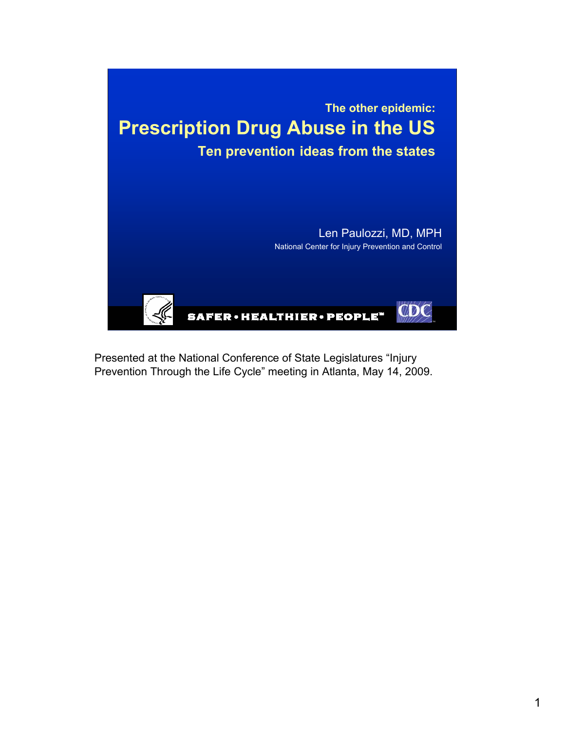

Presented at the National Conference of State Legislatures "Injury Prevention Through the Life Cycle" meeting in Atlanta, May 14, 2009.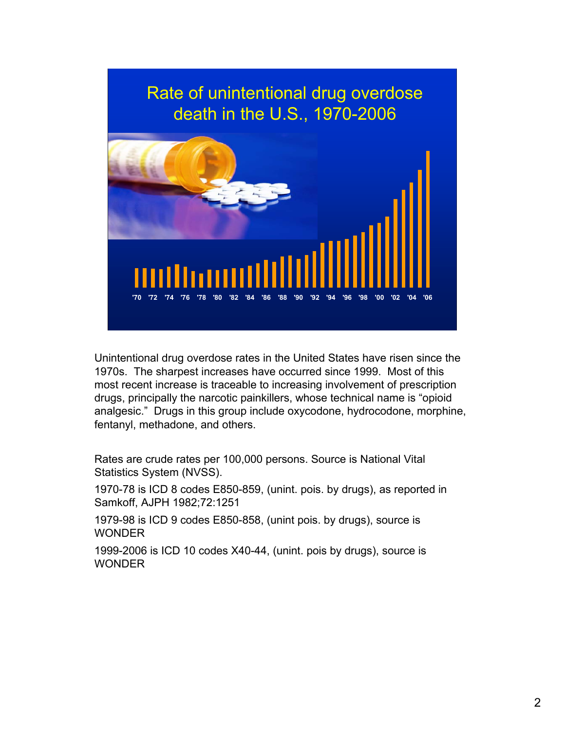

Unintentional drug overdose rates in the United States have risen since the 1970s. The sharpest increases have occurred since 1999. Most of this most recent increase is traceable to increasing involvement of prescription drugs, principally the narcotic painkillers, whose technical name is "opioid analgesic." Drugs in this group include oxycodone, hydrocodone, morphine, fentanyl, methadone, and others.

Rates are crude rates per 100,000 persons. Source is National Vital Statistics System (NVSS).

1970-78 is ICD 8 codes E850-859, (unint. pois. by drugs), as reported in Samkoff, AJPH 1982;72:1251

1979-98 is ICD 9 codes E850-858, (unint pois. by drugs), source is **WONDER** 

1999-2006 is ICD 10 codes X40-44, (unint. pois by drugs), source is **WONDER**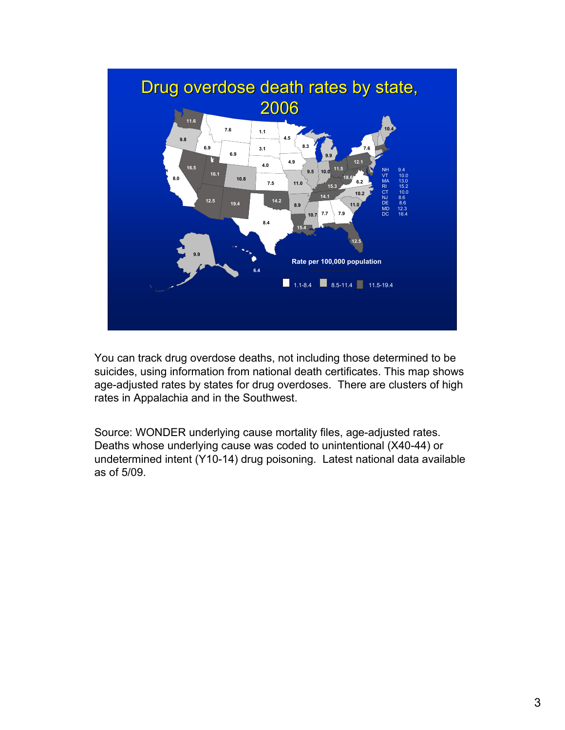

You can track drug overdose deaths, not including those determined to be suicides, using information from national death certificates. This map shows age-adjusted rates by states for drug overdoses. There are clusters of high rates in Appalachia and in the Southwest.

Source: WONDER underlying cause mortality files, age-adjusted rates. Deaths whose underlying cause was coded to unintentional (X40-44) or undetermined intent (Y10-14) drug poisoning. Latest national data available as of 5/09.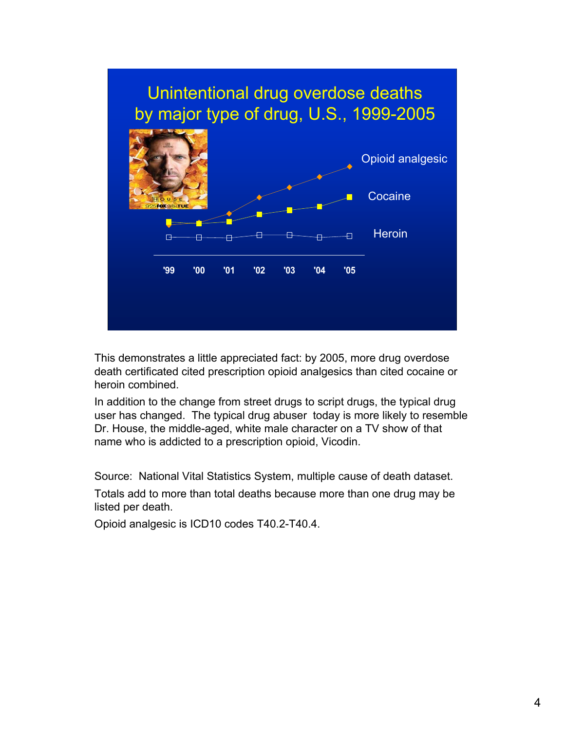

This demonstrates a little appreciated fact: by 2005, more drug overdose death certificated cited prescription opioid analgesics than cited cocaine or heroin combined.

In addition to the change from street drugs to script drugs, the typical drug user has changed. The typical drug abuser today is more likely to resemble Dr. House, the middle-aged, white male character on a TV show of that name who is addicted to a prescription opioid, Vicodin.

Source: National Vital Statistics System, multiple cause of death dataset.

Totals add to more than total deaths because more than one drug may be listed per death.

Opioid analgesic is ICD10 codes T40.2-T40.4.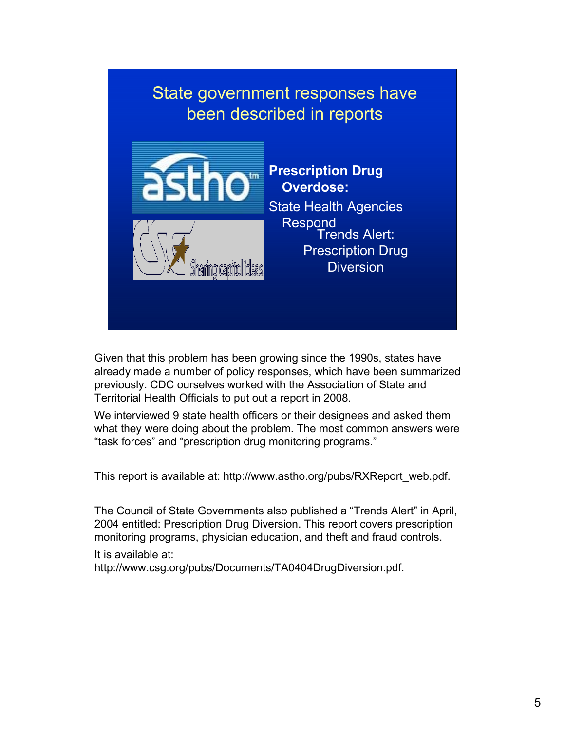# State government responses have been described in reports



**Prescription Drug Overdose:** State Health Agencies

Respond<br>Trends Alert: Prescription Drug **Diversion** 

Given that this problem has been growing since the 1990s, states have already made a number of policy responses, which have been summarized previously. CDC ourselves worked with the Association of State and Territorial Health Officials to put out a report in 2008.

We interviewed 9 state health officers or their designees and asked them what they were doing about the problem. The most common answers were "task forces" and "prescription drug monitoring programs."

This report is available at: http://www.astho.org/pubs/RXReport\_web.pdf.

The Council of State Governments also published a "Trends Alert" in April, 2004 entitled: Prescription Drug Diversion. This report covers prescription monitoring programs, physician education, and theft and fraud controls.

It is available at:

http://www.csg.org/pubs/Documents/TA0404DrugDiversion.pdf.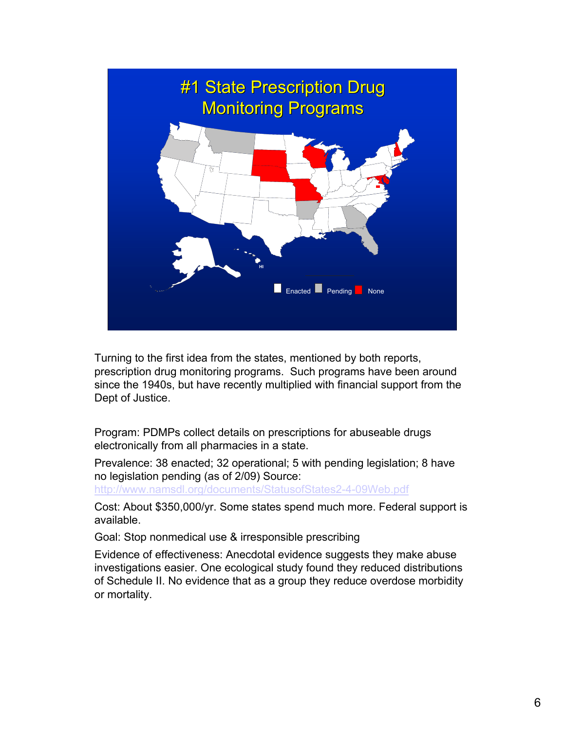

Turning to the first idea from the states, mentioned by both reports, prescription drug monitoring programs. Such programs have been around since the 1940s, but have recently multiplied with financial support from the Dept of Justice.

Program: PDMPs collect details on prescriptions for abuseable drugs electronically from all pharmacies in a state.

Prevalence: 38 enacted; 32 operational; 5 with pending legislation; 8 have no legislation pending (as of 2/09) Source:

http://www.namsdl.org/documents/StatusofStates2-4-09Web.pdf

Cost: About \$350,000/yr. Some states spend much more. Federal support is available.

Goal: Stop nonmedical use & irresponsible prescribing

Evidence of effectiveness: Anecdotal evidence suggests they make abuse investigations easier. One ecological study found they reduced distributions of Schedule II. No evidence that as a group they reduce overdose morbidity or mortality.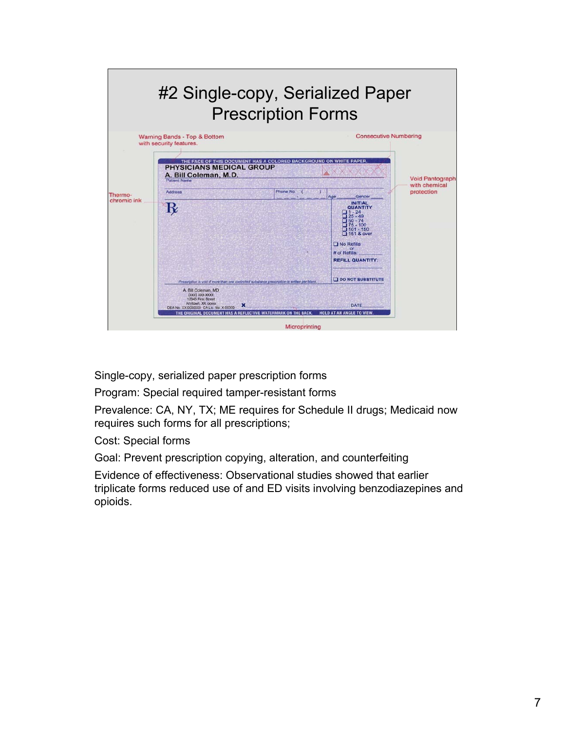

Single-copy, serialized paper prescription forms

Program: Special required tamper-resistant forms

Prevalence: CA, NY, TX; ME requires for Schedule II drugs; Medicaid now requires such forms for all prescriptions;

Cost: Special forms

Goal: Prevent prescription copying, alteration, and counterfeiting

Evidence of effectiveness: Observational studies showed that earlier triplicate forms reduced use of and ED visits involving benzodiazepines and opioids.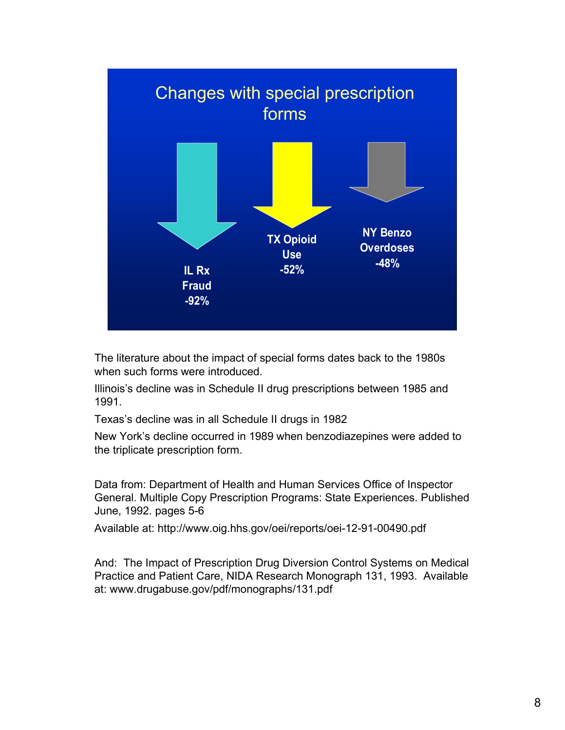

The literature about the impact of special forms dates back to the 1980s when such forms were introduced.

Illinois's decline was in Schedule II drug prescriptions between 1985 and 1991.

Texas's decline was in all Schedule II drugs in 1982

New York's decline occurred in 1989 when benzodiazepines were added to the triplicate prescription form.

Data from: Department of Health and Human Services Office of Inspector General. Multiple Copy Prescription Programs: State Experiences. Published June, 1992. pages 5-6

Available at: http://www.oig.hhs.gov/oei/reports/oei-12-91-00490.pdf

And: The Impact of Prescription Drug Diversion Control Systems on Medical Practice and Patient Care, NIDA Research Monograph 131, 1993. Available at: www.drugabuse.gov/pdf/monographs/131.pdf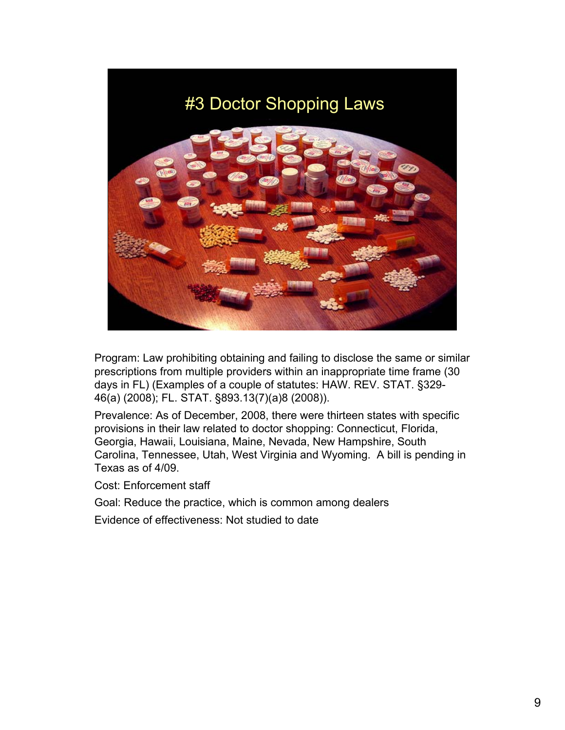## #3 Doctor Shopping Laws



Program: Law prohibiting obtaining and failing to disclose the same or similar prescriptions from multiple providers within an inappropriate time frame (30 days in FL) (Examples of a couple of statutes: HAW. REV. STAT. §329- 46(a) (2008); FL. STAT. §893.13(7)(a)8 (2008)).

Prevalence: As of December, 2008, there were thirteen states with specific provisions in their law related to doctor shopping: Connecticut, Florida, Georgia, Hawaii, Louisiana, Maine, Nevada, New Hampshire, South Carolina, Tennessee, Utah, West Virginia and Wyoming. A bill is pending in Texas as of 4/09.

Cost: Enforcement staff

Goal: Reduce the practice, which is common among dealers

Evidence of effectiveness: Not studied to date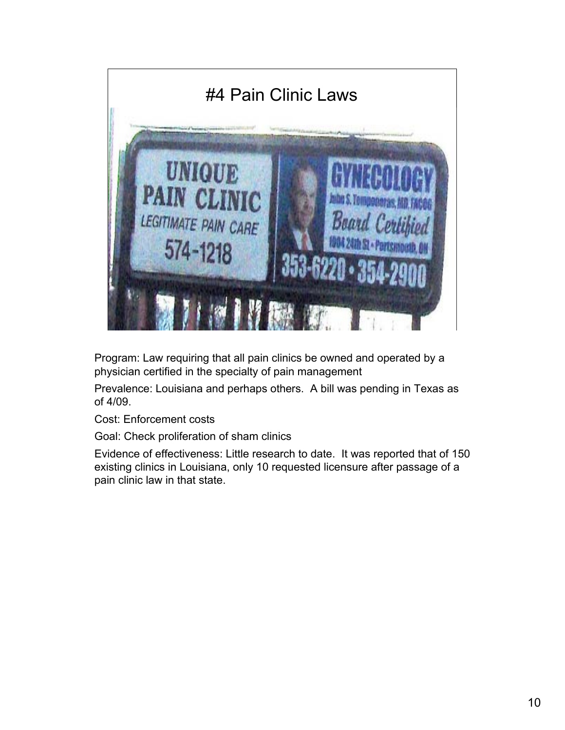

Program: Law requiring that all pain clinics be owned and operated by a physician certified in the specialty of pain management

Prevalence: Louisiana and perhaps others. A bill was pending in Texas as of 4/09.

Cost: Enforcement costs

Goal: Check proliferation of sham clinics

Evidence of effectiveness: Little research to date. It was reported that of 150 existing clinics in Louisiana, only 10 requested licensure after passage of a pain clinic law in that state.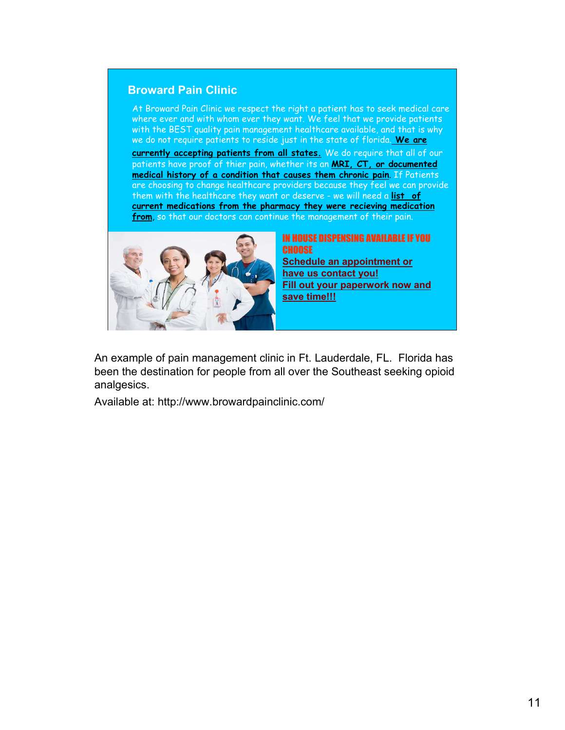#### **Broward Pain Clinic**

At Broward Pain Clinic we respect the right a patient has to seek medical care where ever and with whom ever they want. We feel that we provide patients with the BEST quality pain management healthcare available, and that is why we do not require patients to reside just in the state of florida. **We are** 

**currently accepting patients from all states.** We do require that all of our patients have proof of thier pain, whether its an **MRI, CT, or documented medical history of a condition that causes them chronic pain**. If Patients are choosing to change healthcare providers because they feel we can provide them with the healthcare they want or deserve - we will need a **list of current medications from the pharmacy they were recieving medication from**, so that our doctors can continue the management of their pain.



IN HOUSE DISPENSING AVAILABLE IF YOU CHOOSE **Schedule an appointment or have us contact you! Fill out your paperwork now and save time!!!**

An example of pain management clinic in Ft. Lauderdale, FL. Florida has been the destination for people from all over the Southeast seeking opioid analgesics.

Available at: http://www.browardpainclinic.com/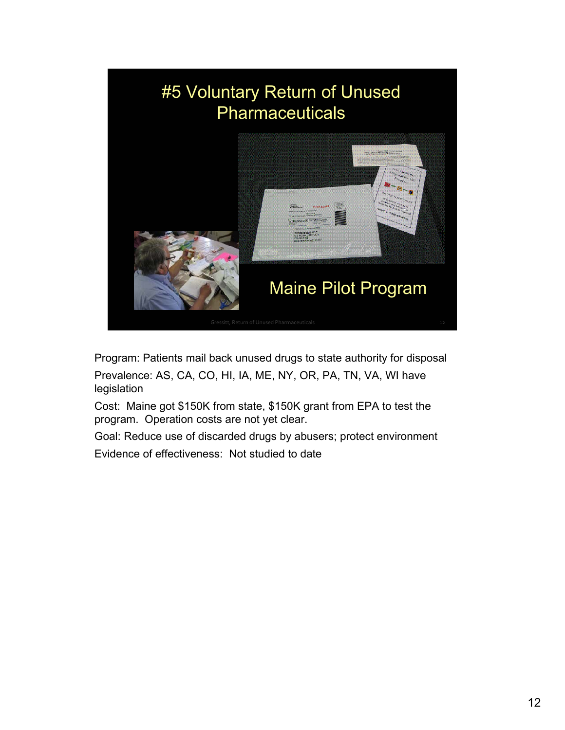

Program: Patients mail back unused drugs to state authority for disposal Prevalence: AS, CA, CO, HI, IA, ME, NY, OR, PA, TN, VA, WI have legislation

Cost: Maine got \$150K from state, \$150K grant from EPA to test the program. Operation costs are not yet clear.

Goal: Reduce use of discarded drugs by abusers; protect environment Evidence of effectiveness: Not studied to date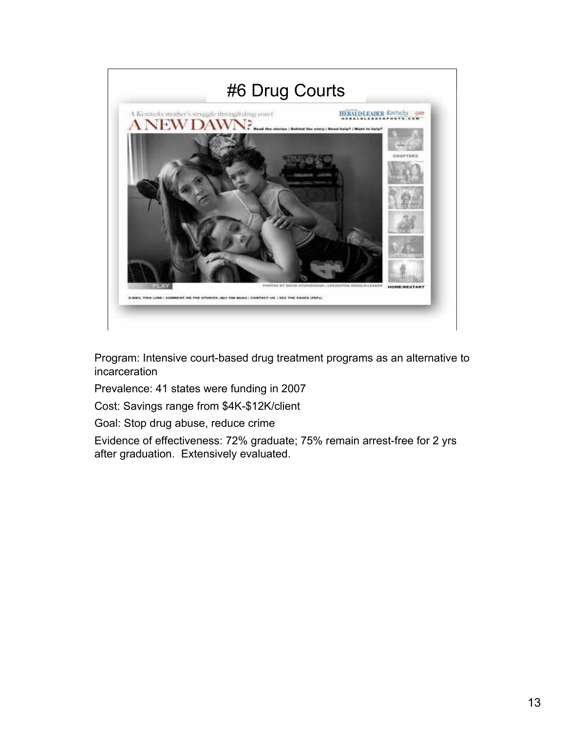

Program: Intensive court-based drug treatment programs as an alternative to incarceration

Prevalence: 41 states were funding in 2007

Cost: Savings range from \$4K-\$12K/client

Goal: Stop drug abuse, reduce crime

Evidence of effectiveness: 72% graduate; 75% remain arrest-free for 2 yrs after graduation. Extensively evaluated.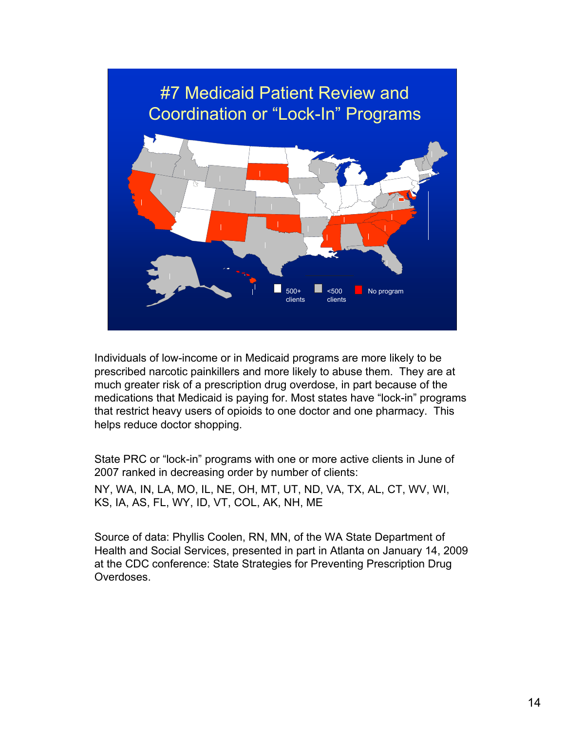

Individuals of low-income or in Medicaid programs are more likely to be prescribed narcotic painkillers and more likely to abuse them. They are at much greater risk of a prescription drug overdose, in part because of the medications that Medicaid is paying for. Most states have "lock-in" programs that restrict heavy users of opioids to one doctor and one pharmacy. This helps reduce doctor shopping.

State PRC or "lock-in" programs with one or more active clients in June of 2007 ranked in decreasing order by number of clients:

NY, WA, IN, LA, MO, IL, NE, OH, MT, UT, ND, VA, TX, AL, CT, WV, WI, KS, IA, AS, FL, WY, ID, VT, COL, AK, NH, ME

Source of data: Phyllis Coolen, RN, MN, of the WA State Department of Health and Social Services, presented in part in Atlanta on January 14, 2009 at the CDC conference: State Strategies for Preventing Prescription Drug Overdoses.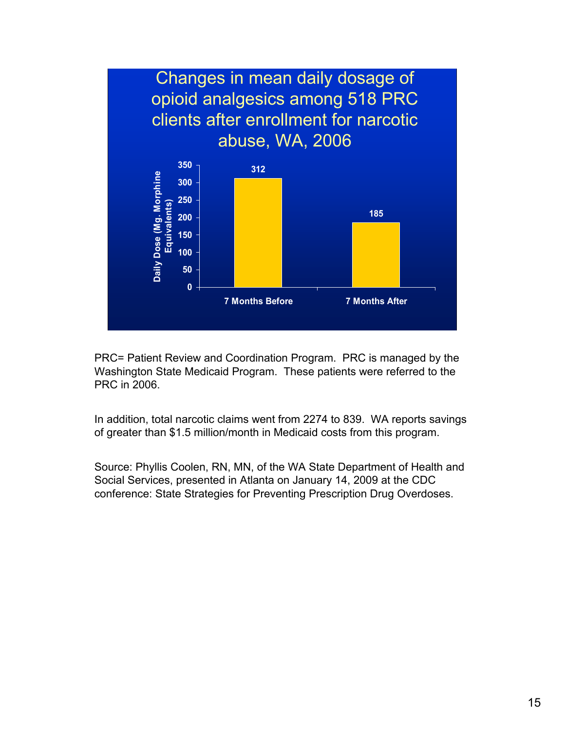

PRC= Patient Review and Coordination Program. PRC is managed by the Washington State Medicaid Program. These patients were referred to the PRC in 2006.

In addition, total narcotic claims went from 2274 to 839. WA reports savings of greater than \$1.5 million/month in Medicaid costs from this program.

Source: Phyllis Coolen, RN, MN, of the WA State Department of Health and Social Services, presented in Atlanta on January 14, 2009 at the CDC conference: State Strategies for Preventing Prescription Drug Overdoses.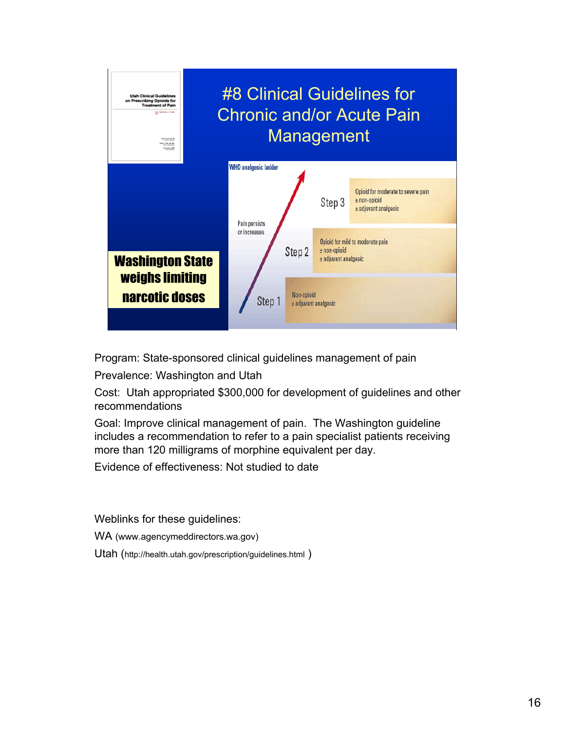

Program: State-sponsored clinical guidelines management of pain

Prevalence: Washington and Utah

Cost: Utah appropriated \$300,000 for development of guidelines and other recommendations

Goal: Improve clinical management of pain. The Washington guideline includes a recommendation to refer to a pain specialist patients receiving more than 120 milligrams of morphine equivalent per day.

Evidence of effectiveness: Not studied to date

Weblinks for these guidelines:

WA (www.agencymeddirectors.wa.gov)

Utah (http://health.utah.gov/prescription/guidelines.html )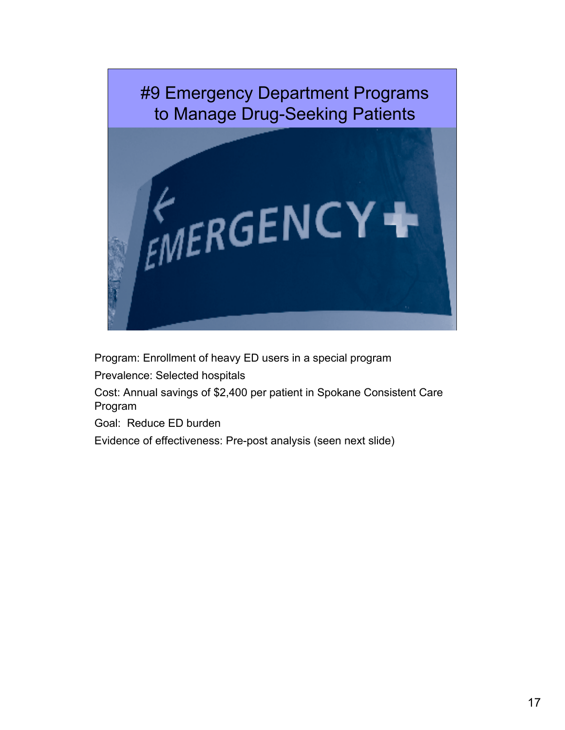

Program: Enrollment of heavy ED users in a special program

Prevalence: Selected hospitals

Cost: Annual savings of \$2,400 per patient in Spokane Consistent Care Program

Goal: Reduce ED burden

Evidence of effectiveness: Pre-post analysis (seen next slide)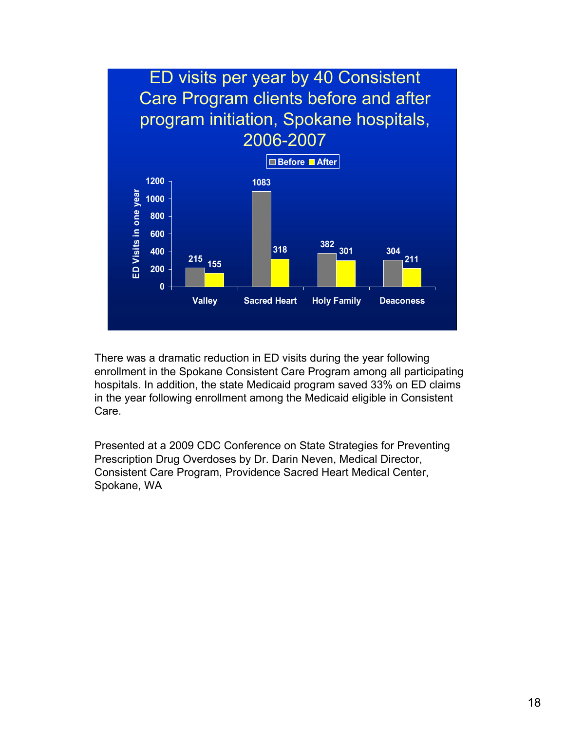

There was a dramatic reduction in ED visits during the year following enrollment in the Spokane Consistent Care Program among all participating hospitals. In addition, the state Medicaid program saved 33% on ED claims in the year following enrollment among the Medicaid eligible in Consistent Care.

Presented at a 2009 CDC Conference on State Strategies for Preventing Prescription Drug Overdoses by Dr. Darin Neven, Medical Director, Consistent Care Program, Providence Sacred Heart Medical Center, Spokane, WA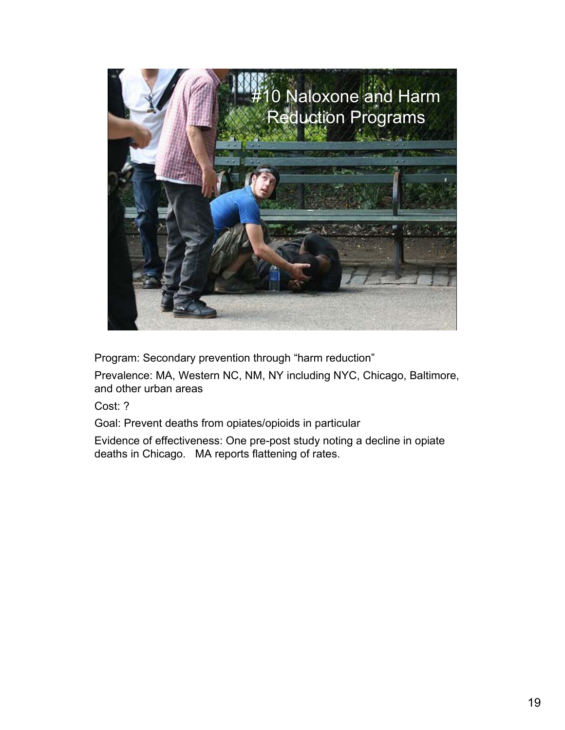

Program: Secondary prevention through "harm reduction"

Prevalence: MA, Western NC, NM, NY including NYC, Chicago, Baltimore, and other urban areas

Cost: ?

Goal: Prevent deaths from opiates/opioids in particular

Evidence of effectiveness: One pre-post study noting a decline in opiate deaths in Chicago. MA reports flattening of rates.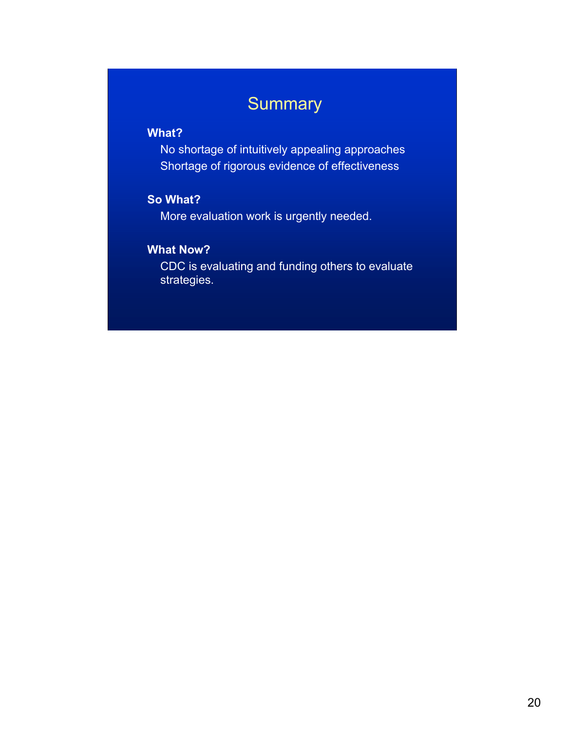### **Summary**

### **What?**

No shortage of intuitively appealing approaches Shortage of rigorous evidence of effectiveness

### **So What?**

More evaluation work is urgently needed.

### **What Now?**

CDC is evaluating and funding others to evaluate strategies.